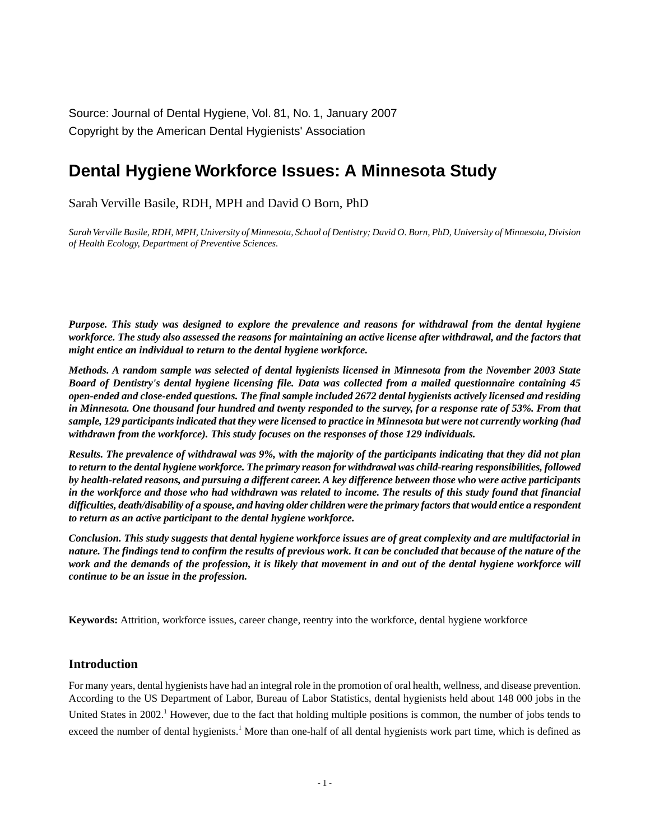Source: Journal of Dental Hygiene, Vol. 81, No. 1, January 2007 Copyright by the American Dental Hygienists' Association

# **Dental Hygiene Workforce Issues: A Minnesota Study**

Sarah Verville Basile, RDH, MPH and David O Born, PhD

*Sarah Verville Basile, RDH, MPH, University of Minnesota, School of Dentistry; David O. Born, PhD, University of Minnesota, Division of Health Ecology, Department of Preventive Sciences.*

*Purpose. This study was designed to explore the prevalence and reasons for withdrawal from the dental hygiene workforce. The study also assessed the reasons for maintaining an active license after withdrawal, and the factors that might entice an individual to return to the dental hygiene workforce.*

*Methods. A random sample was selected of dental hygienists licensed in Minnesota from the November 2003 State Board of Dentistry's dental hygiene licensing file. Data was collected from a mailed questionnaire containing 45 open-ended and close-ended questions. The final sample included 2672 dental hygienists actively licensed and residing in Minnesota. One thousand four hundred and twenty responded to the survey, for a response rate of 53%. From that sample, 129 participants indicated that they were licensed to practice in Minnesota but were not currently working (had withdrawn from the workforce). This study focuses on the responses of those 129 individuals.*

*Results. The prevalence of withdrawal was 9%, with the majority of the participants indicating that they did not plan to return to the dental hygiene workforce. The primary reason for withdrawal was child-rearing responsibilities, followed by health-related reasons, and pursuing a different career. A key difference between those who were active participants in the workforce and those who had withdrawn was related to income. The results of this study found that financial difficulties, death/disability of a spouse, and having older children were the primary factors that would entice a respondent to return as an active participant to the dental hygiene workforce.*

*Conclusion. This study suggests that dental hygiene workforce issues are of great complexity and are multifactorial in nature. The findings tend to confirm the results of previous work. It can be concluded that because of the nature of the work and the demands of the profession, it is likely that movement in and out of the dental hygiene workforce will continue to be an issue in the profession.*

**Keywords:** Attrition, workforce issues, career change, reentry into the workforce, dental hygiene workforce

#### **Introduction**

For many years, dental hygienists have had an integral role in the promotion of oral health, wellness, and disease prevention. According to the US Department of Labor, Bureau of Labor Statistics, dental hygienists held about 148 000 jobs in the United States in 2002.<sup>1</sup> However, due to the fact that holding multiple positions is common, the number of jobs tends to exceed the number of dental hygienists.<sup>1</sup> More than one-half of all dental hygienists work part time, which is defined as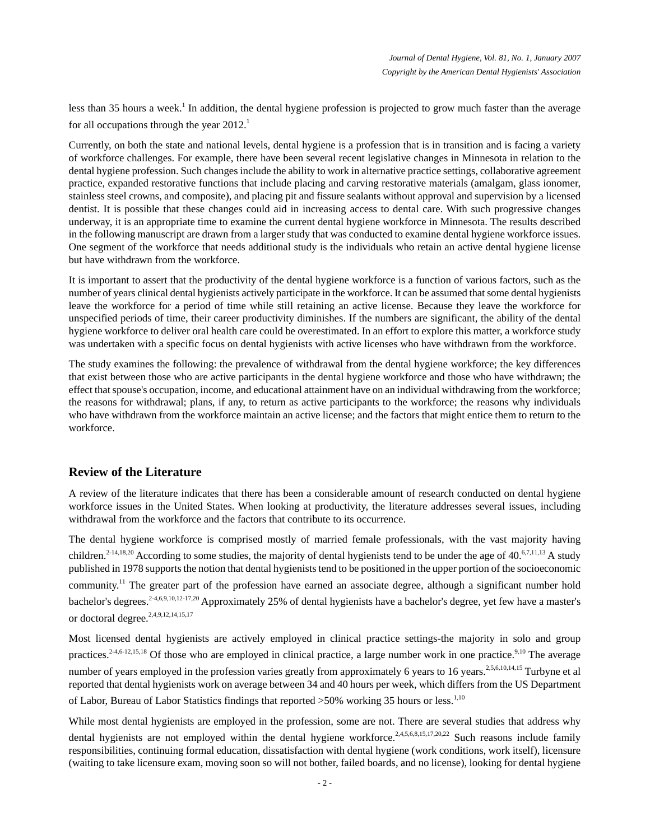less than 35 hours a week.<sup>1</sup> In addition, the dental hygiene profession is projected to grow much faster than the average for all occupations through the year  $2012<sup>1</sup>$ .

Currently, on both the state and national levels, dental hygiene is a profession that is in transition and is facing a variety of workforce challenges. For example, there have been several recent legislative changes in Minnesota in relation to the dental hygiene profession. Such changes include the ability to work in alternative practice settings, collaborative agreement practice, expanded restorative functions that include placing and carving restorative materials (amalgam, glass ionomer, stainless steel crowns, and composite), and placing pit and fissure sealants without approval and supervision by a licensed dentist. It is possible that these changes could aid in increasing access to dental care. With such progressive changes underway, it is an appropriate time to examine the current dental hygiene workforce in Minnesota. The results described in the following manuscript are drawn from a larger study that was conducted to examine dental hygiene workforce issues. One segment of the workforce that needs additional study is the individuals who retain an active dental hygiene license but have withdrawn from the workforce.

It is important to assert that the productivity of the dental hygiene workforce is a function of various factors, such as the number of years clinical dental hygienists actively participate in the workforce. It can be assumed that some dental hygienists leave the workforce for a period of time while still retaining an active license. Because they leave the workforce for unspecified periods of time, their career productivity diminishes. If the numbers are significant, the ability of the dental hygiene workforce to deliver oral health care could be overestimated. In an effort to explore this matter, a workforce study was undertaken with a specific focus on dental hygienists with active licenses who have withdrawn from the workforce.

The study examines the following: the prevalence of withdrawal from the dental hygiene workforce; the key differences that exist between those who are active participants in the dental hygiene workforce and those who have withdrawn; the effect that spouse's occupation, income, and educational attainment have on an individual withdrawing from the workforce; the reasons for withdrawal; plans, if any, to return as active participants to the workforce; the reasons why individuals who have withdrawn from the workforce maintain an active license; and the factors that might entice them to return to the workforce.

# **Review of the Literature**

A review of the literature indicates that there has been a considerable amount of research conducted on dental hygiene workforce issues in the United States. When looking at productivity, the literature addresses several issues, including withdrawal from the workforce and the factors that contribute to its occurrence.

The dental hygiene workforce is comprised mostly of married female professionals, with the vast majority having children.<sup>2-14,18,20</sup> According to some studies, the majority of dental hygienists tend to be under the age of 40.<sup>6,7,11,13</sup> A study published in 1978 supports the notion that dental hygienists tend to be positioned in the upper portion of the socioeconomic community.<sup>11</sup> The greater part of the profession have earned an associate degree, although a significant number hold bachelor's degrees.<sup>2-4,6,9,10,12-17,20</sup> Approximately 25% of dental hygienists have a bachelor's degree, yet few have a master's or doctoral degree.<sup>2,4,9,12,14,15,17</sup>

Most licensed dental hygienists are actively employed in clinical practice settings-the majority in solo and group practices.<sup>2-4,6-12,15,18</sup> Of those who are employed in clinical practice, a large number work in one practice.<sup>9,10</sup> The average number of years employed in the profession varies greatly from approximately 6 years to 16 years.<sup>2,5,6,10,14,15</sup> Turbyne et al reported that dental hygienists work on average between 34 and 40 hours per week, which differs from the US Department of Labor, Bureau of Labor Statistics findings that reported  $>50\%$  working 35 hours or less.<sup>1,10</sup>

While most dental hygienists are employed in the profession, some are not. There are several studies that address why dental hygienists are not employed within the dental hygiene workforce.<sup>2,4,5,6,8,15,17,20,22</sup> Such reasons include family responsibilities, continuing formal education, dissatisfaction with dental hygiene (work conditions, work itself), licensure (waiting to take licensure exam, moving soon so will not bother, failed boards, and no license), looking for dental hygiene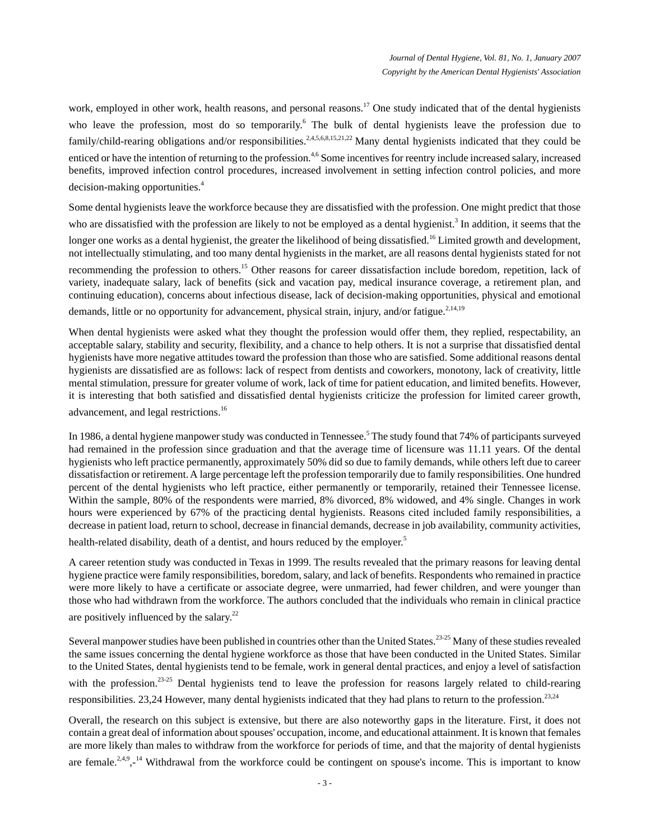work, employed in other work, health reasons, and personal reasons.<sup>17</sup> One study indicated that of the dental hygienists who leave the profession, most do so temporarily.<sup>6</sup> The bulk of dental hygienists leave the profession due to family/child-rearing obligations and/or responsibilities.<sup>2,4,5,6,8,15,21,22</sup> Many dental hygienists indicated that they could be enticed or have the intention of returning to the profession.<sup>4,6</sup> Some incentives for reentry include increased salary, increased benefits, improved infection control procedures, increased involvement in setting infection control policies, and more decision-making opportunities.<sup>4</sup>

Some dental hygienists leave the workforce because they are dissatisfied with the profession. One might predict that those who are dissatisfied with the profession are likely to not be employed as a dental hygienist.<sup>3</sup> In addition, it seems that the longer one works as a dental hygienist, the greater the likelihood of being dissatisfied.<sup>16</sup> Limited growth and development, not intellectually stimulating, and too many dental hygienists in the market, are all reasons dental hygienists stated for not recommending the profession to others.<sup>15</sup> Other reasons for career dissatisfaction include boredom, repetition, lack of variety, inadequate salary, lack of benefits (sick and vacation pay, medical insurance coverage, a retirement plan, and continuing education), concerns about infectious disease, lack of decision-making opportunities, physical and emotional demands, little or no opportunity for advancement, physical strain, injury, and/or fatigue.<sup>2,14,19</sup>

When dental hygienists were asked what they thought the profession would offer them, they replied, respectability, an acceptable salary, stability and security, flexibility, and a chance to help others. It is not a surprise that dissatisfied dental hygienists have more negative attitudes toward the profession than those who are satisfied. Some additional reasons dental hygienists are dissatisfied are as follows: lack of respect from dentists and coworkers, monotony, lack of creativity, little mental stimulation, pressure for greater volume of work, lack of time for patient education, and limited benefits. However, it is interesting that both satisfied and dissatisfied dental hygienists criticize the profession for limited career growth, advancement, and legal restrictions.<sup>16</sup>

In 1986, a dental hygiene manpower study was conducted in Tennessee.<sup>5</sup> The study found that 74% of participants surveyed had remained in the profession since graduation and that the average time of licensure was 11.11 years. Of the dental hygienists who left practice permanently, approximately 50% did so due to family demands, while others left due to career dissatisfaction or retirement. A large percentage left the profession temporarily due to family responsibilities. One hundred percent of the dental hygienists who left practice, either permanently or temporarily, retained their Tennessee license. Within the sample, 80% of the respondents were married, 8% divorced, 8% widowed, and 4% single. Changes in work hours were experienced by 67% of the practicing dental hygienists. Reasons cited included family responsibilities, a decrease in patient load, return to school, decrease in financial demands, decrease in job availability, community activities,

health-related disability, death of a dentist, and hours reduced by the employer.<sup>5</sup>

A career retention study was conducted in Texas in 1999. The results revealed that the primary reasons for leaving dental hygiene practice were family responsibilities, boredom, salary, and lack of benefits. Respondents who remained in practice were more likely to have a certificate or associate degree, were unmarried, had fewer children, and were younger than those who had withdrawn from the workforce. The authors concluded that the individuals who remain in clinical practice are positively influenced by the salary.<sup>22</sup>

Several manpower studies have been published in countries other than the United States.<sup>23-25</sup> Many of these studies revealed the same issues concerning the dental hygiene workforce as those that have been conducted in the United States. Similar to the United States, dental hygienists tend to be female, work in general dental practices, and enjoy a level of satisfaction with the profession.<sup>23-25</sup> Dental hygienists tend to leave the profession for reasons largely related to child-rearing responsibilities. 23,24 However, many dental hygienists indicated that they had plans to return to the profession.  $23.24$ 

Overall, the research on this subject is extensive, but there are also noteworthy gaps in the literature. First, it does not contain a great deal of information about spouses' occupation, income, and educational attainment. It is known that females are more likely than males to withdraw from the workforce for periods of time, and that the majority of dental hygienists are female.<sup>2,4,9</sup>,-<sup>14</sup> Withdrawal from the workforce could be contingent on spouse's income. This is important to know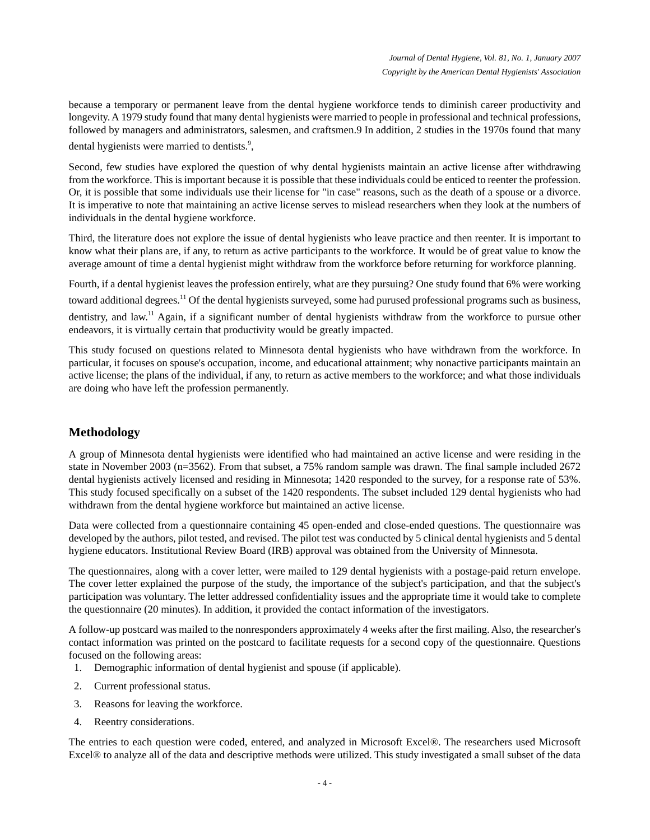because a temporary or permanent leave from the dental hygiene workforce tends to diminish career productivity and longevity. A 1979 study found that many dental hygienists were married to people in professional and technical professions, followed by managers and administrators, salesmen, and craftsmen.9 In addition, 2 studies in the 1970s found that many dental hygienists were married to dentists.<sup>9</sup>,

Second, few studies have explored the question of why dental hygienists maintain an active license after withdrawing from the workforce. This is important because it is possible that these individuals could be enticed to reenter the profession. Or, it is possible that some individuals use their license for "in case" reasons, such as the death of a spouse or a divorce. It is imperative to note that maintaining an active license serves to mislead researchers when they look at the numbers of individuals in the dental hygiene workforce.

Third, the literature does not explore the issue of dental hygienists who leave practice and then reenter. It is important to know what their plans are, if any, to return as active participants to the workforce. It would be of great value to know the average amount of time a dental hygienist might withdraw from the workforce before returning for workforce planning.

Fourth, if a dental hygienist leaves the profession entirely, what are they pursuing? One study found that 6% were working toward additional degrees.<sup>11</sup> Of the dental hygienists surveyed, some had purused professional programs such as business, dentistry, and law.<sup>11</sup> Again, if a significant number of dental hygienists withdraw from the workforce to pursue other endeavors, it is virtually certain that productivity would be greatly impacted.

This study focused on questions related to Minnesota dental hygienists who have withdrawn from the workforce. In particular, it focuses on spouse's occupation, income, and educational attainment; why nonactive participants maintain an active license; the plans of the individual, if any, to return as active members to the workforce; and what those individuals are doing who have left the profession permanently.

# **Methodology**

A group of Minnesota dental hygienists were identified who had maintained an active license and were residing in the state in November 2003 (n=3562). From that subset, a 75% random sample was drawn. The final sample included 2672 dental hygienists actively licensed and residing in Minnesota; 1420 responded to the survey, for a response rate of 53%. This study focused specifically on a subset of the 1420 respondents. The subset included 129 dental hygienists who had withdrawn from the dental hygiene workforce but maintained an active license.

Data were collected from a questionnaire containing 45 open-ended and close-ended questions. The questionnaire was developed by the authors, pilot tested, and revised. The pilot test was conducted by 5 clinical dental hygienists and 5 dental hygiene educators. Institutional Review Board (IRB) approval was obtained from the University of Minnesota.

The questionnaires, along with a cover letter, were mailed to 129 dental hygienists with a postage-paid return envelope. The cover letter explained the purpose of the study, the importance of the subject's participation, and that the subject's participation was voluntary. The letter addressed confidentiality issues and the appropriate time it would take to complete the questionnaire (20 minutes). In addition, it provided the contact information of the investigators.

A follow-up postcard was mailed to the nonresponders approximately 4 weeks after the first mailing. Also, the researcher's contact information was printed on the postcard to facilitate requests for a second copy of the questionnaire. Questions focused on the following areas:

- 1. Demographic information of dental hygienist and spouse (if applicable).
- 2. Current professional status.
- 3. Reasons for leaving the workforce.
- 4. Reentry considerations.

The entries to each question were coded, entered, and analyzed in Microsoft Excel®. The researchers used Microsoft Excel® to analyze all of the data and descriptive methods were utilized. This study investigated a small subset of the data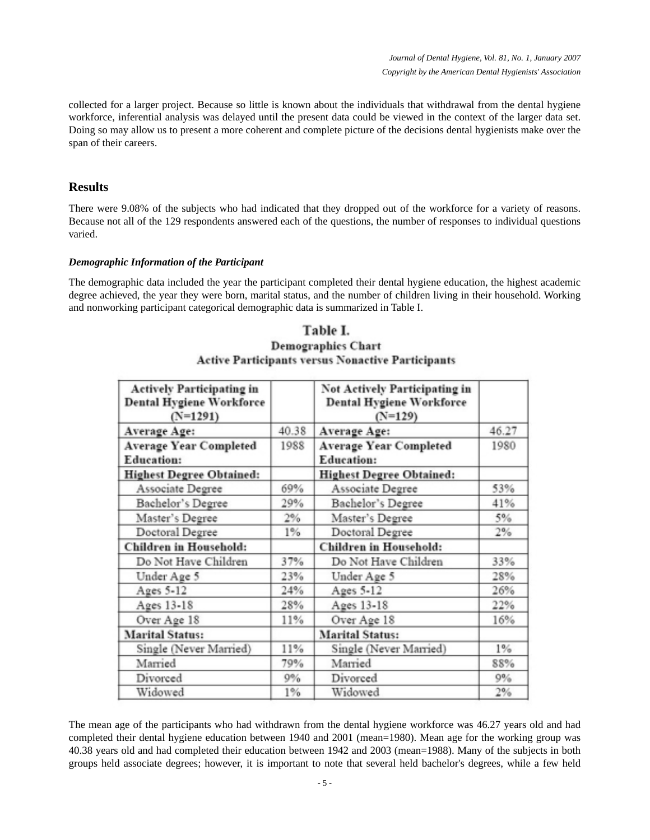collected for a larger project. Because so little is known about the individuals that withdrawal from the dental hygiene workforce, inferential analysis was delayed until the present data could be viewed in the context of the larger data set. Doing so may allow us to present a more coherent and complete picture of the decisions dental hygienists make over the span of their careers.

## **Results**

There were 9.08% of the subjects who had indicated that they dropped out of the workforce for a variety of reasons. Because not all of the 129 respondents answered each of the questions, the number of responses to individual questions varied.

#### *Demographic Information of the Participant*

The demographic data included the year the participant completed their dental hygiene education, the highest academic degree achieved, the year they were born, marital status, and the number of children living in their household. Working and nonworking participant categorical demographic data is summarized in Table I.

| <b>Actively Participating in</b><br><b>Dental Hygiene Workforce</b><br>$(N=1291)$ |       | Not Actively Participating in<br><b>Dental Hygiene Workforce</b><br>$(N=129)$ |       |
|-----------------------------------------------------------------------------------|-------|-------------------------------------------------------------------------------|-------|
| Average Age:                                                                      | 40.38 | Average Age:                                                                  | 46.27 |
| <b>Average Year Completed</b>                                                     | 1988  | <b>Average Year Completed</b>                                                 | 1980  |
| <b>Education:</b>                                                                 |       | <b>Education:</b>                                                             |       |
| <b>Highest Degree Obtained:</b>                                                   |       | <b>Highest Degree Obtained:</b>                                               |       |
| Associate Degree                                                                  | 69%   | Associate Degree                                                              | 53%   |
| Bachelor's Degree                                                                 | 29%   | Bachelor's Degree                                                             | 41%   |
| Master's Degree                                                                   | 2%    | Master's Degree                                                               | 5%    |
| Doctoral Degree                                                                   | $1\%$ | Doctoral Degree                                                               | 2%    |
| <b>Children</b> in Household:                                                     |       | <b>Children</b> in Household:                                                 |       |
| Do Not Have Children                                                              | 37%   | Do Not Have Children                                                          | 33%   |
| Under Age 5                                                                       | 23%   | Under Age 5                                                                   | 28%   |
| Ages 5-12                                                                         | 24%   | Ages 5-12                                                                     | 26%   |
| Ages 13-18                                                                        | 28%   | Ages 13-18                                                                    | 22%   |
| Over Age 18                                                                       | 11%   | Over Age 18                                                                   | 16%   |
| <b>Marital Status:</b>                                                            |       | <b>Marital Status:</b>                                                        |       |
| Single (Never Married)                                                            | 11%   | Single (Never Married)                                                        | 1%    |
| Married                                                                           | 79%   | Married                                                                       | 88%   |
| Divorced                                                                          | 9%    | Divorced                                                                      | 9%    |
| Widowed                                                                           | $1\%$ | Widowed                                                                       | 2%    |

# Table I. **Demographics Chart Active Participants versus Nonactive Participants**

The mean age of the participants who had withdrawn from the dental hygiene workforce was 46.27 years old and had completed their dental hygiene education between 1940 and 2001 (mean=1980). Mean age for the working group was 40.38 years old and had completed their education between 1942 and 2003 (mean=1988). Many of the subjects in both groups held associate degrees; however, it is important to note that several held bachelor's degrees, while a few held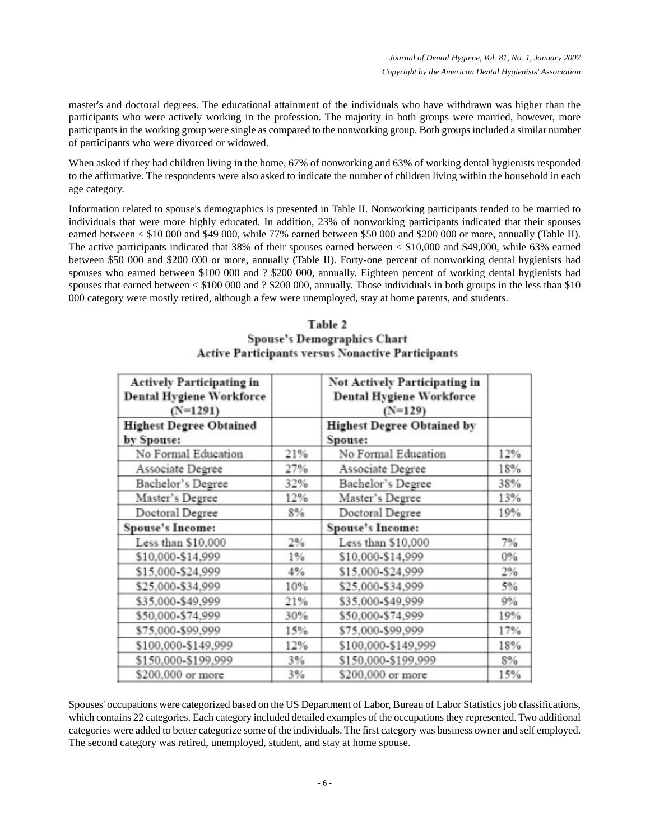master's and doctoral degrees. The educational attainment of the individuals who have withdrawn was higher than the participants who were actively working in the profession. The majority in both groups were married, however, more participants in the working group were single as compared to the nonworking group. Both groups included a similar number of participants who were divorced or widowed.

When asked if they had children living in the home, 67% of nonworking and 63% of working dental hygienists responded to the affirmative. The respondents were also asked to indicate the number of children living within the household in each age category.

Information related to spouse's demographics is presented in Table II. Nonworking participants tended to be married to individuals that were more highly educated. In addition, 23% of nonworking participants indicated that their spouses earned between < \$10 000 and \$49 000, while 77% earned between \$50 000 and \$200 000 or more, annually (Table II). The active participants indicated that 38% of their spouses earned between < \$10,000 and \$49,000, while 63% earned between \$50 000 and \$200 000 or more, annually (Table II). Forty-one percent of nonworking dental hygienists had spouses who earned between \$100 000 and ? \$200 000, annually. Eighteen percent of working dental hygienists had spouses that earned between < \$100 000 and ? \$200 000, annually. Those individuals in both groups in the less than \$10 000 category were mostly retired, although a few were unemployed, stay at home parents, and students.

|                                                                                   |       | эропзе з пешохгаршсэ с пагт<br><b>Active Participants versus Nonactive Participants</b> |       |
|-----------------------------------------------------------------------------------|-------|-----------------------------------------------------------------------------------------|-------|
| <b>Actively Participating in</b><br><b>Dental Hygiene Workforce</b><br>$(N=1291)$ |       | Not Actively Participating in<br><b>Dental Hygiene Workforce</b><br>$(N=129)$           |       |
| <b>Highest Degree Obtained</b><br>by Spouse:                                      |       | <b>Highest Degree Obtained by</b><br>Spouse:                                            |       |
| No Formal Education                                                               | 21%   | No Formal Education                                                                     | 12%   |
| Associate Degree                                                                  | 27%   | Associate Degree                                                                        | 18%   |
| Bachelor's Degree                                                                 | 32%   | Bachelor's Degree                                                                       | 38%   |
| Master's Degree                                                                   | 12%   | Master's Degree                                                                         | 13%   |
| Doctoral Degree                                                                   | 8%    | Doctoral Degree                                                                         | 19%   |
| <b>Spouse's Income:</b>                                                           |       | <b>Spouse's Income:</b>                                                                 |       |
| Less than \$10,000                                                                | 2%    | Less than \$10,000                                                                      | 7%    |
| \$10,000-\$14,999                                                                 | $1\%$ | \$10,000-\$14,999                                                                       | $0\%$ |
| \$15,000-\$24,999                                                                 | 4%    | \$15,000-\$24,999                                                                       | 2%    |
| \$25,000-\$34,999                                                                 | 10%   | \$25,000-\$34,999                                                                       | 5%    |
| \$35,000-\$49,999                                                                 | 21%   | \$35,000-\$49,999                                                                       | 9%    |
| \$50,000-\$74,999                                                                 | 30%   | \$50,000-\$74,999                                                                       | 19%   |
| \$75,000-\$99,999                                                                 | 15%   | \$75,000-\$99,999                                                                       | 17%   |
| \$100,000-\$149,999                                                               | 12%   | \$100,000-\$149,999                                                                     | 18%   |
| \$150,000-\$199,999                                                               | 3%    | \$150,000-\$199,999                                                                     | 8%    |
| \$200,000 or more                                                                 | 3%    | \$200,000 or more                                                                       | 15%   |

# Table 2 **Concrete Demographies Chart**

Spouses' occupations were categorized based on the US Department of Labor, Bureau of Labor Statistics job classifications, which contains 22 categories. Each category included detailed examples of the occupations they represented. Two additional categories were added to better categorize some of the individuals. The first category was business owner and self employed. The second category was retired, unemployed, student, and stay at home spouse.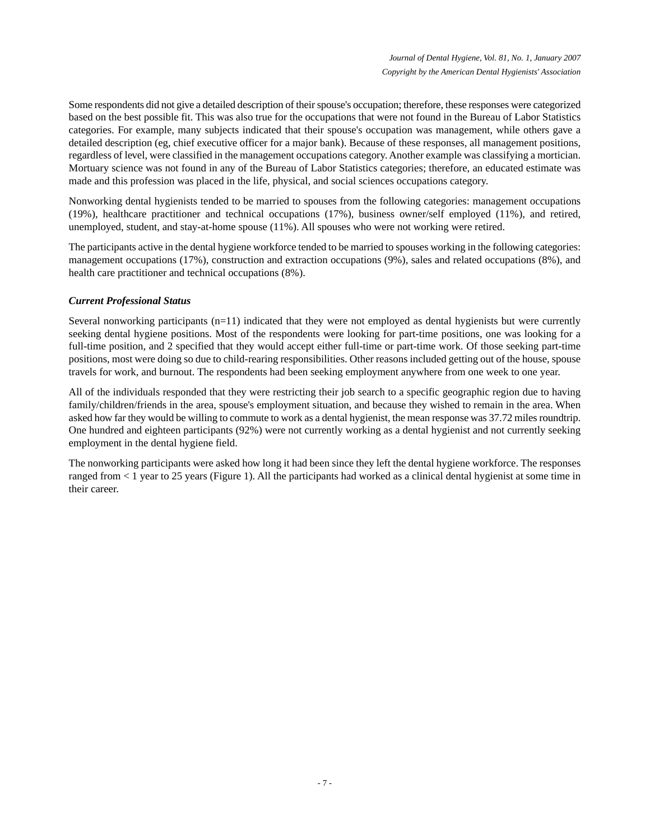Some respondents did not give a detailed description of their spouse's occupation; therefore, these responses were categorized based on the best possible fit. This was also true for the occupations that were not found in the Bureau of Labor Statistics categories. For example, many subjects indicated that their spouse's occupation was management, while others gave a detailed description (eg, chief executive officer for a major bank). Because of these responses, all management positions, regardless of level, were classified in the management occupations category. Another example was classifying a mortician. Mortuary science was not found in any of the Bureau of Labor Statistics categories; therefore, an educated estimate was made and this profession was placed in the life, physical, and social sciences occupations category.

Nonworking dental hygienists tended to be married to spouses from the following categories: management occupations (19%), healthcare practitioner and technical occupations (17%), business owner/self employed (11%), and retired, unemployed, student, and stay-at-home spouse (11%). All spouses who were not working were retired.

The participants active in the dental hygiene workforce tended to be married to spouses working in the following categories: management occupations (17%), construction and extraction occupations (9%), sales and related occupations (8%), and health care practitioner and technical occupations (8%).

#### *Current Professional Status*

Several nonworking participants (n=11) indicated that they were not employed as dental hygienists but were currently seeking dental hygiene positions. Most of the respondents were looking for part-time positions, one was looking for a full-time position, and 2 specified that they would accept either full-time or part-time work. Of those seeking part-time positions, most were doing so due to child-rearing responsibilities. Other reasons included getting out of the house, spouse travels for work, and burnout. The respondents had been seeking employment anywhere from one week to one year.

All of the individuals responded that they were restricting their job search to a specific geographic region due to having family/children/friends in the area, spouse's employment situation, and because they wished to remain in the area. When asked how far they would be willing to commute to work as a dental hygienist, the mean response was 37.72 miles roundtrip. One hundred and eighteen participants (92%) were not currently working as a dental hygienist and not currently seeking employment in the dental hygiene field.

The nonworking participants were asked how long it had been since they left the dental hygiene workforce. The responses ranged from < 1 year to 25 years (Figure 1). All the participants had worked as a clinical dental hygienist at some time in their career.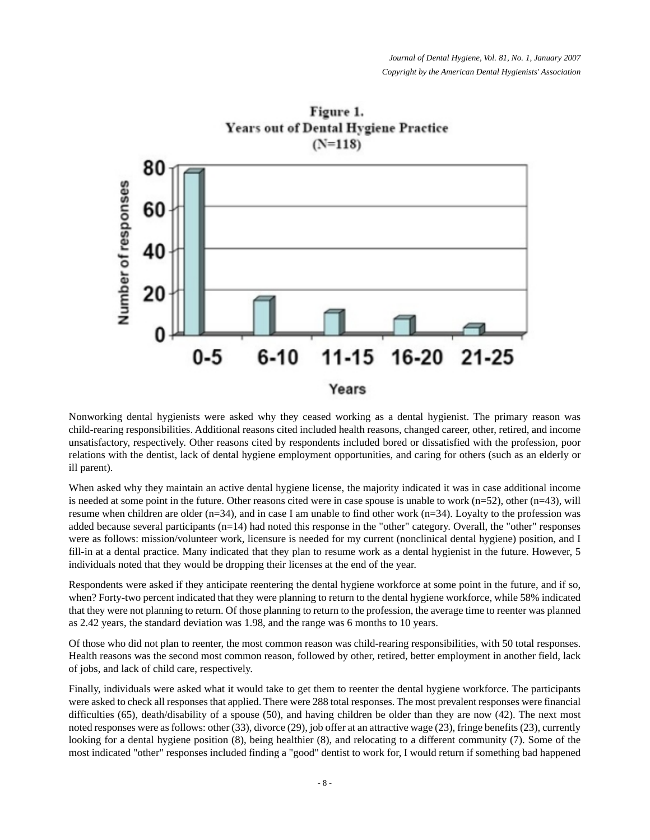

Figure 1. Years out of Dental Hygiene Practice

Nonworking dental hygienists were asked why they ceased working as a dental hygienist. The primary reason was child-rearing responsibilities. Additional reasons cited included health reasons, changed career, other, retired, and income unsatisfactory, respectively. Other reasons cited by respondents included bored or dissatisfied with the profession, poor relations with the dentist, lack of dental hygiene employment opportunities, and caring for others (such as an elderly or ill parent).

When asked why they maintain an active dental hygiene license, the majority indicated it was in case additional income is needed at some point in the future. Other reasons cited were in case spouse is unable to work  $(n=52)$ , other  $(n=43)$ , will resume when children are older ( $n=34$ ), and in case I am unable to find other work ( $n=34$ ). Loyalty to the profession was added because several participants (n=14) had noted this response in the "other" category. Overall, the "other" responses were as follows: mission/volunteer work, licensure is needed for my current (nonclinical dental hygiene) position, and I fill-in at a dental practice. Many indicated that they plan to resume work as a dental hygienist in the future. However, 5 individuals noted that they would be dropping their licenses at the end of the year.

Respondents were asked if they anticipate reentering the dental hygiene workforce at some point in the future, and if so, when? Forty-two percent indicated that they were planning to return to the dental hygiene workforce, while 58% indicated that they were not planning to return. Of those planning to return to the profession, the average time to reenter was planned as 2.42 years, the standard deviation was 1.98, and the range was 6 months to 10 years.

Of those who did not plan to reenter, the most common reason was child-rearing responsibilities, with 50 total responses. Health reasons was the second most common reason, followed by other, retired, better employment in another field, lack of jobs, and lack of child care, respectively.

Finally, individuals were asked what it would take to get them to reenter the dental hygiene workforce. The participants were asked to check all responses that applied. There were 288 total responses. The most prevalent responses were financial difficulties (65), death/disability of a spouse (50), and having children be older than they are now (42). The next most noted responses were as follows: other (33), divorce (29), job offer at an attractive wage (23), fringe benefits (23), currently looking for a dental hygiene position (8), being healthier (8), and relocating to a different community (7). Some of the most indicated "other" responses included finding a "good" dentist to work for, I would return if something bad happened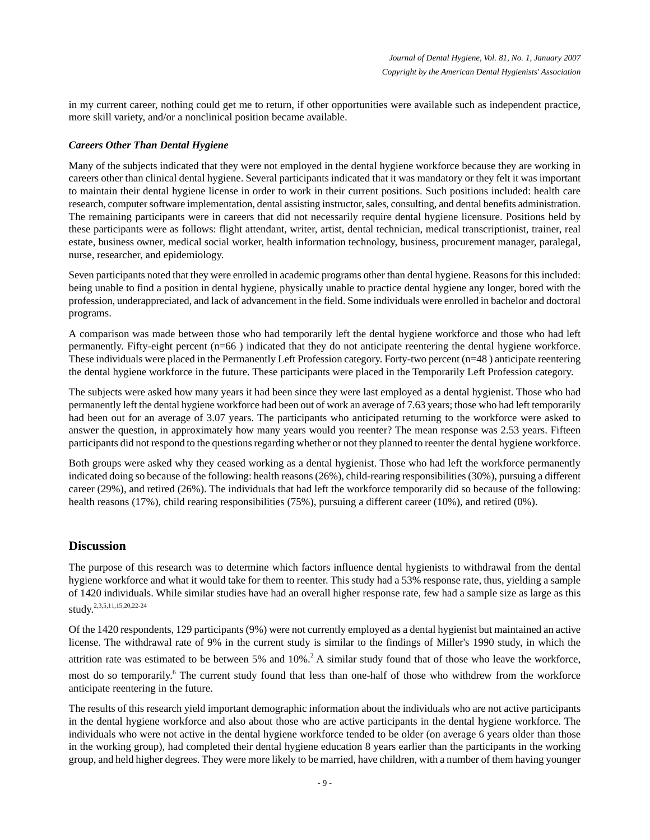in my current career, nothing could get me to return, if other opportunities were available such as independent practice, more skill variety, and/or a nonclinical position became available.

#### *Careers Other Than Dental Hygiene*

Many of the subjects indicated that they were not employed in the dental hygiene workforce because they are working in careers other than clinical dental hygiene. Several participants indicated that it was mandatory or they felt it was important to maintain their dental hygiene license in order to work in their current positions. Such positions included: health care research, computer software implementation, dental assisting instructor, sales, consulting, and dental benefits administration. The remaining participants were in careers that did not necessarily require dental hygiene licensure. Positions held by these participants were as follows: flight attendant, writer, artist, dental technician, medical transcriptionist, trainer, real estate, business owner, medical social worker, health information technology, business, procurement manager, paralegal, nurse, researcher, and epidemiology.

Seven participants noted that they were enrolled in academic programs other than dental hygiene. Reasons for this included: being unable to find a position in dental hygiene, physically unable to practice dental hygiene any longer, bored with the profession, underappreciated, and lack of advancement in the field. Some individuals were enrolled in bachelor and doctoral programs.

A comparison was made between those who had temporarily left the dental hygiene workforce and those who had left permanently. Fifty-eight percent (n=66 ) indicated that they do not anticipate reentering the dental hygiene workforce. These individuals were placed in the Permanently Left Profession category. Forty-two percent (n=48 ) anticipate reentering the dental hygiene workforce in the future. These participants were placed in the Temporarily Left Profession category.

The subjects were asked how many years it had been since they were last employed as a dental hygienist. Those who had permanently left the dental hygiene workforce had been out of work an average of 7.63 years; those who had left temporarily had been out for an average of 3.07 years. The participants who anticipated returning to the workforce were asked to answer the question, in approximately how many years would you reenter? The mean response was 2.53 years. Fifteen participants did not respond to the questions regarding whether or not they planned to reenter the dental hygiene workforce.

Both groups were asked why they ceased working as a dental hygienist. Those who had left the workforce permanently indicated doing so because of the following: health reasons (26%), child-rearing responsibilities (30%), pursuing a different career (29%), and retired (26%). The individuals that had left the workforce temporarily did so because of the following: health reasons (17%), child rearing responsibilities (75%), pursuing a different career (10%), and retired (0%).

## **Discussion**

The purpose of this research was to determine which factors influence dental hygienists to withdrawal from the dental hygiene workforce and what it would take for them to reenter. This study had a 53% response rate, thus, yielding a sample of 1420 individuals. While similar studies have had an overall higher response rate, few had a sample size as large as this study. 2,3,5,11,15,20,22-24

Of the 1420 respondents, 129 participants (9%) were not currently employed as a dental hygienist but maintained an active license. The withdrawal rate of 9% in the current study is similar to the findings of Miller's 1990 study, in which the attrition rate was estimated to be between 5% and  $10\%$ <sup>2</sup>. A similar study found that of those who leave the workforce, most do so temporarily.<sup>6</sup> The current study found that less than one-half of those who withdrew from the workforce anticipate reentering in the future.

The results of this research yield important demographic information about the individuals who are not active participants in the dental hygiene workforce and also about those who are active participants in the dental hygiene workforce. The individuals who were not active in the dental hygiene workforce tended to be older (on average 6 years older than those in the working group), had completed their dental hygiene education 8 years earlier than the participants in the working group, and held higher degrees. They were more likely to be married, have children, with a number of them having younger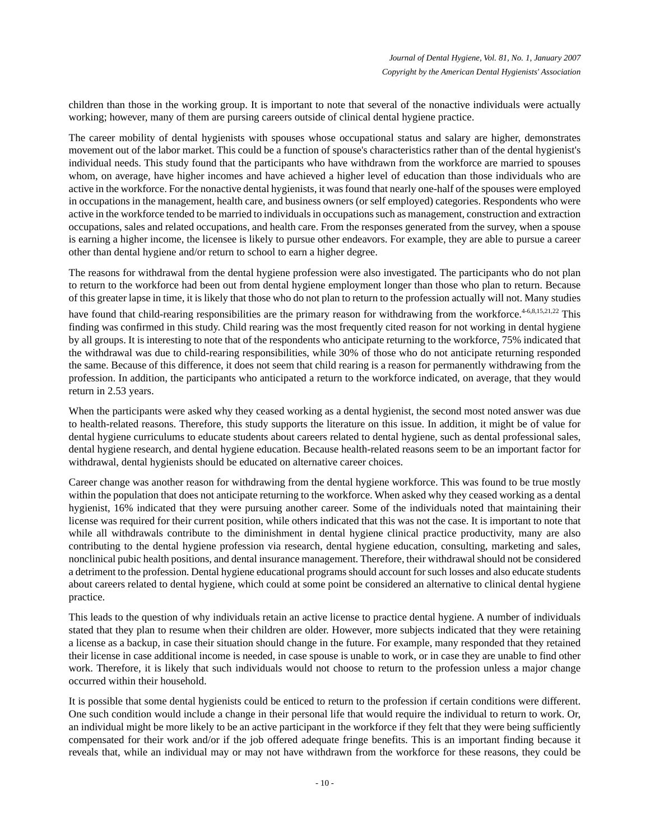children than those in the working group. It is important to note that several of the nonactive individuals were actually working; however, many of them are pursing careers outside of clinical dental hygiene practice.

The career mobility of dental hygienists with spouses whose occupational status and salary are higher, demonstrates movement out of the labor market. This could be a function of spouse's characteristics rather than of the dental hygienist's individual needs. This study found that the participants who have withdrawn from the workforce are married to spouses whom, on average, have higher incomes and have achieved a higher level of education than those individuals who are active in the workforce. For the nonactive dental hygienists, it was found that nearly one-half of the spouses were employed in occupations in the management, health care, and business owners (or self employed) categories. Respondents who were active in the workforce tended to be married to individuals in occupations such as management, construction and extraction occupations, sales and related occupations, and health care. From the responses generated from the survey, when a spouse is earning a higher income, the licensee is likely to pursue other endeavors. For example, they are able to pursue a career other than dental hygiene and/or return to school to earn a higher degree.

The reasons for withdrawal from the dental hygiene profession were also investigated. The participants who do not plan to return to the workforce had been out from dental hygiene employment longer than those who plan to return. Because of this greater lapse in time, it is likely that those who do not plan to return to the profession actually will not. Many studies

have found that child-rearing responsibilities are the primary reason for withdrawing from the workforce.<sup>4-6,8,15,21,22</sup> This finding was confirmed in this study. Child rearing was the most frequently cited reason for not working in dental hygiene by all groups. It is interesting to note that of the respondents who anticipate returning to the workforce, 75% indicated that the withdrawal was due to child-rearing responsibilities, while 30% of those who do not anticipate returning responded the same. Because of this difference, it does not seem that child rearing is a reason for permanently withdrawing from the profession. In addition, the participants who anticipated a return to the workforce indicated, on average, that they would return in 2.53 years.

When the participants were asked why they ceased working as a dental hygienist, the second most noted answer was due to health-related reasons. Therefore, this study supports the literature on this issue. In addition, it might be of value for dental hygiene curriculums to educate students about careers related to dental hygiene, such as dental professional sales, dental hygiene research, and dental hygiene education. Because health-related reasons seem to be an important factor for withdrawal, dental hygienists should be educated on alternative career choices.

Career change was another reason for withdrawing from the dental hygiene workforce. This was found to be true mostly within the population that does not anticipate returning to the workforce. When asked why they ceased working as a dental hygienist, 16% indicated that they were pursuing another career. Some of the individuals noted that maintaining their license was required for their current position, while others indicated that this was not the case. It is important to note that while all withdrawals contribute to the diminishment in dental hygiene clinical practice productivity, many are also contributing to the dental hygiene profession via research, dental hygiene education, consulting, marketing and sales, nonclinical pubic health positions, and dental insurance management. Therefore, their withdrawal should not be considered a detriment to the profession. Dental hygiene educational programs should account for such losses and also educate students about careers related to dental hygiene, which could at some point be considered an alternative to clinical dental hygiene practice.

This leads to the question of why individuals retain an active license to practice dental hygiene. A number of individuals stated that they plan to resume when their children are older. However, more subjects indicated that they were retaining a license as a backup, in case their situation should change in the future. For example, many responded that they retained their license in case additional income is needed, in case spouse is unable to work, or in case they are unable to find other work. Therefore, it is likely that such individuals would not choose to return to the profession unless a major change occurred within their household.

It is possible that some dental hygienists could be enticed to return to the profession if certain conditions were different. One such condition would include a change in their personal life that would require the individual to return to work. Or, an individual might be more likely to be an active participant in the workforce if they felt that they were being sufficiently compensated for their work and/or if the job offered adequate fringe benefits. This is an important finding because it reveals that, while an individual may or may not have withdrawn from the workforce for these reasons, they could be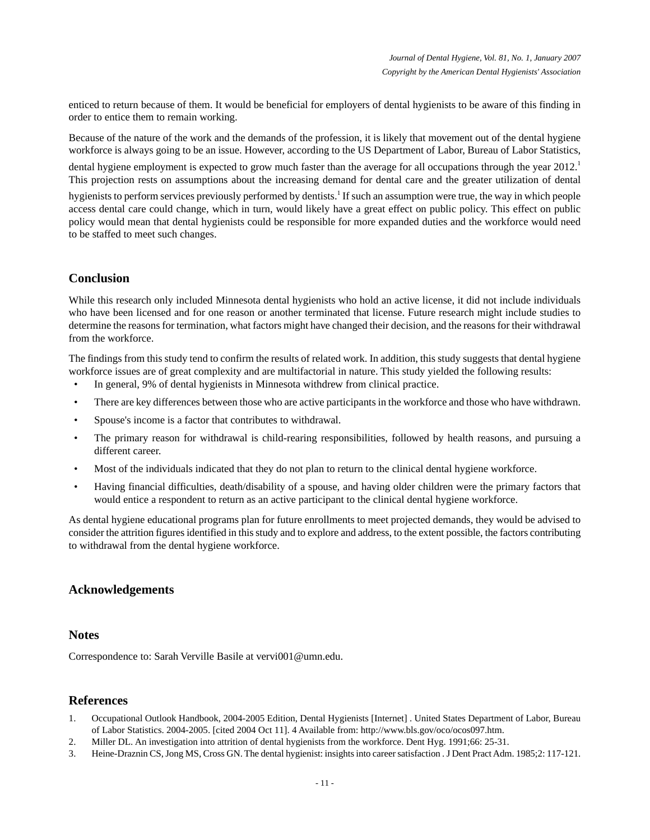enticed to return because of them. It would be beneficial for employers of dental hygienists to be aware of this finding in order to entice them to remain working.

Because of the nature of the work and the demands of the profession, it is likely that movement out of the dental hygiene workforce is always going to be an issue. However, according to the US Department of Labor, Bureau of Labor Statistics,

dental hygiene employment is expected to grow much faster than the average for all occupations through the year  $2012<sup>1</sup>$ This projection rests on assumptions about the increasing demand for dental care and the greater utilization of dental

hygienists to perform services previously performed by dentists.<sup>1</sup> If such an assumption were true, the way in which people access dental care could change, which in turn, would likely have a great effect on public policy. This effect on public policy would mean that dental hygienists could be responsible for more expanded duties and the workforce would need to be staffed to meet such changes.

# **Conclusion**

While this research only included Minnesota dental hygienists who hold an active license, it did not include individuals who have been licensed and for one reason or another terminated that license. Future research might include studies to determine the reasons for termination, what factors might have changed their decision, and the reasons for their withdrawal from the workforce.

The findings from this study tend to confirm the results of related work. In addition, this study suggests that dental hygiene workforce issues are of great complexity and are multifactorial in nature. This study yielded the following results:

- In general, 9% of dental hygienists in Minnesota withdrew from clinical practice.
- There are key differences between those who are active participants in the workforce and those who have withdrawn.
- Spouse's income is a factor that contributes to withdrawal.
- The primary reason for withdrawal is child-rearing responsibilities, followed by health reasons, and pursuing a different career.
- Most of the individuals indicated that they do not plan to return to the clinical dental hygiene workforce.
- Having financial difficulties, death/disability of a spouse, and having older children were the primary factors that would entice a respondent to return as an active participant to the clinical dental hygiene workforce.

As dental hygiene educational programs plan for future enrollments to meet projected demands, they would be advised to consider the attrition figures identified in this study and to explore and address, to the extent possible, the factors contributing to withdrawal from the dental hygiene workforce.

## **Acknowledgements**

#### **Notes**

Correspondence to: Sarah Verville Basile at vervi001@umn.edu.

## **References**

- 1. Occupational Outlook Handbook, 2004-2005 Edition, Dental Hygienists [Internet] . United States Department of Labor, Bureau of Labor Statistics. 2004-2005. [cited 2004 Oct 11]. 4 Available from: http://www.bls.gov/oco/ocos097.htm.
- 2. Miller DL. An investigation into attrition of dental hygienists from the workforce. Dent Hyg. 1991;66: 25-31.
- 3. Heine-Draznin CS, Jong MS, Cross GN. The dental hygienist: insights into career satisfaction . J Dent Pract Adm. 1985;2: 117-121.